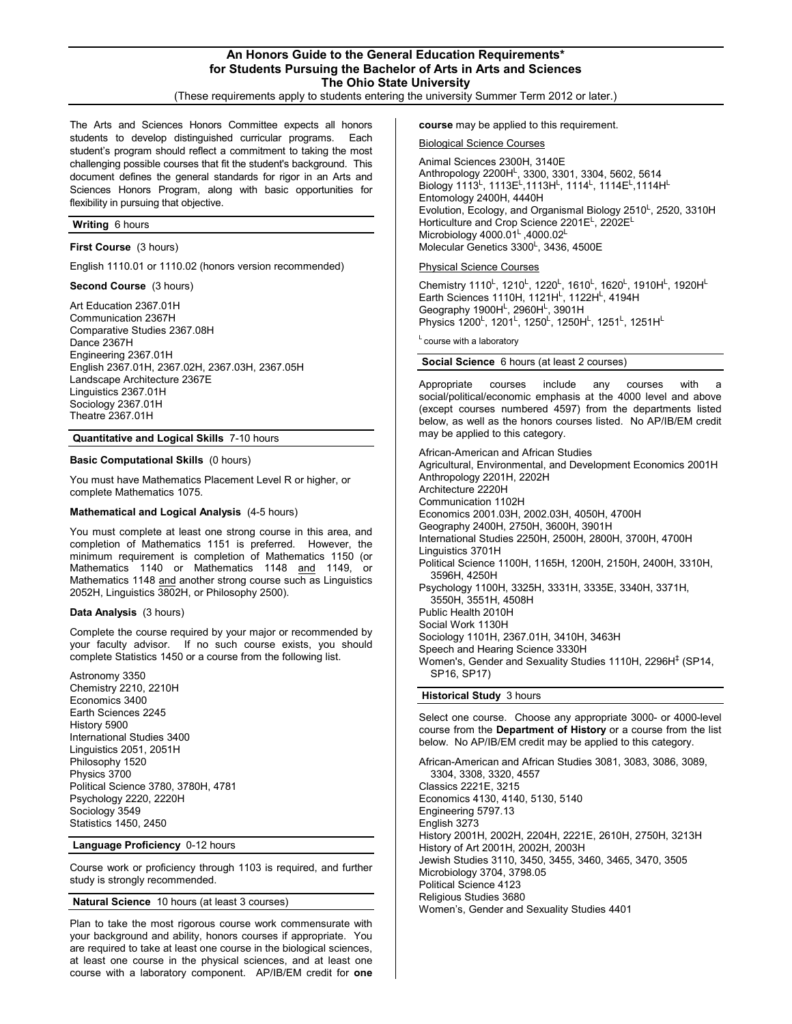# **An Honors Guide to the General Education Requirements\* for Students Pursuing the Bachelor of Arts in Arts and Sciences The Ohio State University**

(These requirements apply to students entering the university Summer Term 2012 or later.)

The Arts and Sciences Honors Committee expects all honors students to develop distinguished curricular programs. Each student's program should reflect a commitment to taking the most challenging possible courses that fit the student's background. This document defines the general standards for rigor in an Arts and Sciences Honors Program, along with basic opportunities for flexibility in pursuing that objective.

### **Writing** 6 hours

**First Course** (3 hours)

English 1110.01 or 1110.02 (honors version recommended)

**Second Course** (3 hours)

Art Education 2367.01H Communication 2367H Comparative Studies 2367.08H Dance 2367H Engineering 2367.01H English 2367.01H, 2367.02H, 2367.03H, 2367.05H Landscape Architecture 2367E Linguistics 2367.01H Sociology 2367.01H Theatre 2367.01H

### **Quantitative and Logical Skills** 7-10 hours

# **Basic Computational Skills** (0 hours)

You must have Mathematics Placement Level R or higher, or complete Mathematics 1075.

# **Mathematical and Logical Analysis** (4-5 hours)

You must complete at least one strong course in this area, and completion of Mathematics 1151 is preferred. However, the minimum requirement is completion of Mathematics 1150 (or Mathematics 1140 or Mathematics 1148 and 1149, or Mathematics 1148 and another strong course such as Linguistics 2052H, Linguistics 3802H, or Philosophy 2500).

#### **Data Analysis** (3 hours)

Complete the course required by your major or recommended by your faculty advisor. If no such course exists, you should complete Statistics 1450 or a course from the following list.

Astronomy 3350 Chemistry 2210, 2210H Economics 3400 Earth Sciences 2245 History 5900 International Studies 3400 Linguistics 2051, 2051H Philosophy 1520 Physics 3700 Political Science 3780, 3780H, 4781 Psychology 2220, 2220H Sociology 3549 Statistics 1450, 2450

**Language Proficiency** 0-12 hours

Course work or proficiency through 1103 is required, and further study is strongly recommended.

**Natural Science** 10 hours (at least 3 courses)

Plan to take the most rigorous course work commensurate with your background and ability, honors courses if appropriate. You are required to take at least one course in the biological sciences, at least one course in the physical sciences, and at least one course with a laboratory component. AP/IB/EM credit for **one** 

**course** may be applied to this requirement.

Biological Science Courses

Animal Sciences 2300H, 3140E Anthropology 2200H<sup>L</sup>, 3300, 3301, 3304, 5602, 5614 Biology 1113<sup>L</sup>, 1113E<sup>L</sup>,1113H<sup>L</sup>, 1114<sup>L</sup>, 1114E<sup>L</sup>,1114H<sup>L</sup> Entomology 2400H, 4440H Evolution, Ecology, and Organismal Biology 2510<sup>L</sup>, 2520, 3310H Horticulture and Crop Science 2201E<sup>L</sup>, 2202EL Microbiology 4000.01<sup>L</sup>, 4000.02<sup>L</sup> Molecular Genetics 3300<sup>L</sup>, 3436, 4500E

### Physical Science Courses

Chemistry 1110<sup>L</sup>, 1210<sup>L</sup>, 1220<sup>L</sup>, 1610<sup>L</sup>, 1620<sup>L</sup>, 1910H<sup>L</sup>, 1920H<sup>L</sup> Earth Sciences 1110H, 1121HL, 1122HL, 4194H Geography 1900H<sup>L</sup>, 2960H<sup>L</sup>, 3901H Physics 1200<sup>L</sup>, 1201<sup>L</sup>, 1250<sup>L</sup>, 1250H<sup>L</sup>, 1251<sup>L</sup>, 1251H<sup>L</sup>

 $L$  course with a laboratory

# **Social Science** 6 hours (at least 2 courses)

Appropriate courses include any courses with social/political/economic emphasis at the 4000 level and above (except courses numbered 4597) from the departments listed below, as well as the honors courses listed. No AP/IB/EM credit may be applied to this category.

African-American and African Studies Agricultural, Environmental, and Development Economics 2001H Anthropology 2201H, 2202H Architecture 2220H Communication 1102H Economics 2001.03H, 2002.03H, 4050H, 4700H Geography 2400H, 2750H, 3600H, 3901H International Studies 2250H, 2500H, 2800H, 3700H, 4700H Linguistics 3701H Political Science 1100H, 1165H, 1200H, 2150H, 2400H, 3310H, 3596H, 4250H Psychology 1100H, 3325H, 3331H, 3335E, 3340H, 3371H, 3550H, 3551H, 4508H Public Health 2010H Social Work 1130H Sociology 1101H, 2367.01H, 3410H, 3463H Speech and Hearing Science 3330H Women's, Gender and Sexuality Studies 1110H, 2296H<sup>‡</sup> (SP14, SP16, SP17) **Historical Study** 3 hours

Select one course. Choose any appropriate 3000- or 4000-level course from the **Department of History** or a course from the list below. No AP/IB/EM credit may be applied to this category.

African-American and African Studies 3081, 3083, 3086, 3089, 3304, 3308, 3320, 4557 Classics 2221E, 3215 Economics 4130, 4140, 5130, 5140 Engineering 5797.13 English 3273 History 2001H, 2002H, 2204H, 2221E, 2610H, 2750H, 3213H History of Art 2001H, 2002H, 2003H Jewish Studies 3110, 3450, 3455, 3460, 3465, 3470, 3505 Microbiology 3704, 3798.05 Political Science 4123 Religious Studies 3680 Women's, Gender and Sexuality Studies 4401